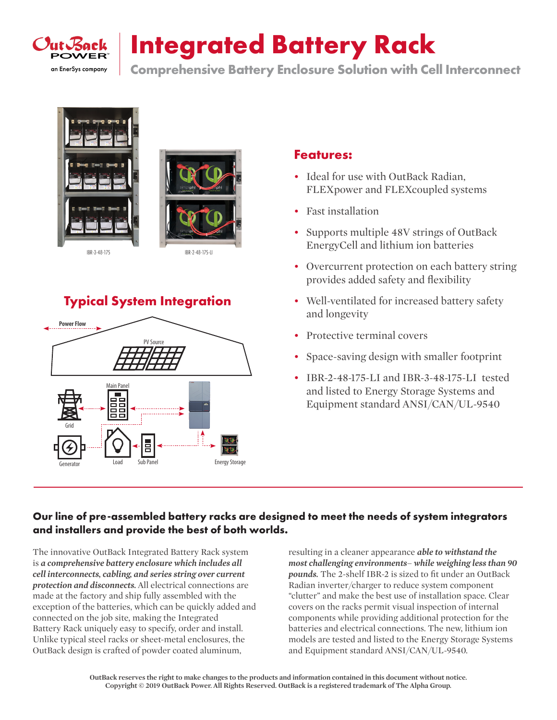

# **Integrated Battery Rack**

**Comprehensive Battery Enclosure Solution with Cell Interconnect** 





### **Typical System Integration**



#### **Features:**

- Ideal for use with OutBack Radian, FLEXpower and FLEXcoupled systems
- Fast installation
- Supports multiple 48V strings of OutBack EnergyCell and lithium ion batteries
- Overcurrent protection on each battery string provides added safety and flexibility
- Well-ventilated for increased battery safety and longevity
- Protective terminal covers
- Space-saving design with smaller footprint
- IBR-2-48-175-LI and IBR-3-48-175-LI tested and listed to Energy Storage Systems and Equipment standard ANSI/CAN/UL-9540

#### **Our line of pre-assembled battery racks are designed to meet the needs of system integrators and installers and provide the best of both worlds.**

The innovative OutBack Integrated Battery Rack system is *a comprehensive battery enclosure which includes all cell interconnects, cabling, and series string over current protection and disconnects.* All electrical connections are made at the factory and ship fully assembled with the exception of the batteries, which can be quickly added and connected on the job site, making the Integrated Battery Rack uniquely easy to specify, order and install. Unlike typical steel racks or sheet-metal enclosures, the OutBack design is crafted of powder coated aluminum,

resulting in a cleaner appearance *able to withstand the most challenging environments– while weighing less than 90 pounds.* The 2-shelf IBR-2 is sized to fit under an OutBack Radian inverter/charger to reduce system component "clutter" and make the best use of installation space. Clear covers on the racks permit visual inspection of internal components while providing additional protection for the batteries and electrical connections. The new, lithium ion models are tested and listed to the Energy Storage Systems and Equipment standard ANSI/CAN/UL-9540.